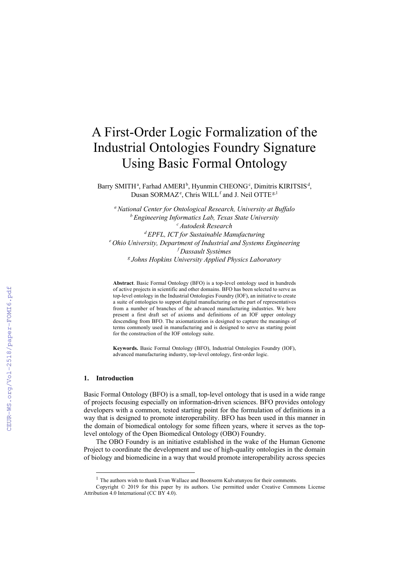# A First-Order Logic Formalization of the Industrial Ontologies Foundry Signature Using Basic Formal Ontology

Barry SMITH<sup>a</sup>, Farhad AMERI<sup>b</sup>, Hyunmin CHEONG<sup>c</sup>, Dimitris KIRITSIS<sup>d</sup>, Dusan SORMAZ<sup>e</sup>, Chris WILL<sup>f</sup> and J. Neil OTTE<sup>g,1</sup>

*a National Center for Ontological Research, University at Buffalo b Engineering Informatics Lab, Texas State University c Autodesk Research d EPFL, ICT for Sustainable Manufacturing e Ohio University, Department of Industrial and Systems Engineering f Dassault Systèmes g Johns Hopkins University Applied Physics Laboratory*

**Abstract**. Basic Formal Ontology (BFO) is a top-level ontology used in hundreds of active projects in scientific and other domains. BFO has been selected to serve as top-level ontology in the Industrial Ontologies Foundry (IOF), an initiative to create a suite of ontologies to support digital manufacturing on the part of representatives from a number of branches of the advanced manufacturing industries. We here present a first draft set of axioms and definitions of an IOF upper ontology descending from BFO. The axiomatization is designed to capture the meanings of terms commonly used in manufacturing and is designed to serve as starting point for the construction of the IOF ontology suite.

**Keywords.** Basic Formal Ontology (BFO), Industrial Ontologies Foundry (IOF), advanced manufacturing industry, top-level ontology, first-order logic.

#### **1. Introduction**

Basic Formal Ontology (BFO) is a small, top-level ontology that is used in a wide range of projects focusing especially on information-driven sciences. BFO provides ontology developers with a common, tested starting point for the formulation of definitions in a way that is designed to promote interoperability. BFO has been used in this manner in the domain of biomedical ontology for some fifteen years, where it serves as the toplevel ontology of the Open Biomedical Ontology (OBO) Foundry.

The OBO Foundry is an initiative established in the wake of the Human Genome Project to coordinate the development and use of high-quality ontologies in the domain of biology and biomedicine in a way that would promote interoperability across species

<sup>&</sup>lt;sup>1</sup> The authors wish to thank Evan Wallace and Boonserm Kulvatunyou for their comments.

Copyright © 2019 for this paper by its authors. Use permitted under Creative Commons License Attribution 4.0 International (CC BY 4.0).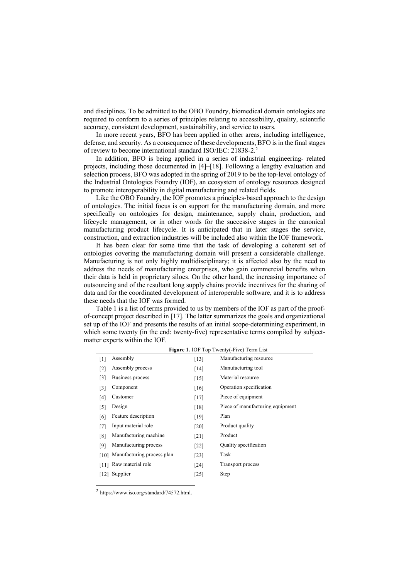and disciplines. To be admitted to the OBO Foundry, biomedical domain ontologies are required to conform to a series of principles relating to accessibility, quality, scientific accuracy, consistent development, sustainability, and service to users.

In more recent years, BFO has been applied in other areas, including intelligence, defense, and security. As a consequence of these developments, BFO is in the final stages of review to become international standard ISO/IEC: 21838-2.2

In addition, BFO is being applied in a series of industrial engineering- related projects, including those documented in [4]–[18]. Following a lengthy evaluation and selection process, BFO was adopted in the spring of 2019 to be the top-level ontology of the Industrial Ontologies Foundry (IOF), an ecosystem of ontology resources designed to promote interoperability in digital manufacturing and related fields.

Like the OBO Foundry, the IOF promotes a principles-based approach to the design of ontologies. The initial focus is on support for the manufacturing domain, and more specifically on ontologies for design, maintenance, supply chain, production, and lifecycle management, or in other words for the successive stages in the canonical manufacturing product lifecycle. It is anticipated that in later stages the service, construction, and extraction industries will be included also within the IOF framework.

It has been clear for some time that the task of developing a coherent set of ontologies covering the manufacturing domain will present a considerable challenge. Manufacturing is not only highly multidisciplinary; it is affected also by the need to address the needs of manufacturing enterprises, who gain commercial benefits when their data is held in proprietary siloes. On the other hand, the increasing importance of outsourcing and of the resultant long supply chains provide incentives for the sharing of data and for the coordinated development of interoperable software, and it is to address these needs that the IOF was formed.

Table 1 is a list of terms provided to us by members of the IOF as part of the proofof-concept project described in [17]. The latter summarizes the goals and organizational set up of the IOF and presents the results of an initial scope-determining experiment, in which some twenty (in the end: twenty-five) representative terms compiled by subjectmatter experts within the IOF.

| <b>Figure 1. IOF Top Twenty(-Five) Term List</b> |                            |        |                                  |
|--------------------------------------------------|----------------------------|--------|----------------------------------|
| $[1]$                                            | Assembly                   | [13]   | Manufacturing resource           |
| $[2]$                                            | Assembly process           | $[14]$ | Manufacturing tool               |
| $\lceil 3 \rceil$                                | Business process           | $[15]$ | Material resource                |
| $\lceil 3 \rceil$                                | Component                  | [16]   | Operation specification          |
| [4]                                              | Customer                   | $[17]$ | Piece of equipment               |
| [5]                                              | Design                     | [18]   | Piece of manufacturing equipment |
| [6]                                              | Feature description        | [19]   | Plan                             |
| $[7]$                                            | Input material role        | [20]   | Product quality                  |
| [8]                                              | Manufacturing machine      | [21]   | Product                          |
| [9]                                              | Manufacturing process      | $[22]$ | Quality specification            |
| [10]                                             | Manufacturing process plan | [23]   | Task                             |
| [11]                                             | Raw material role          | [24]   | Transport process                |
| [12]                                             | Supplier                   | $[25]$ | Step                             |
|                                                  |                            |        |                                  |

<sup>2</sup> https://www.iso.org/standard/74572.html.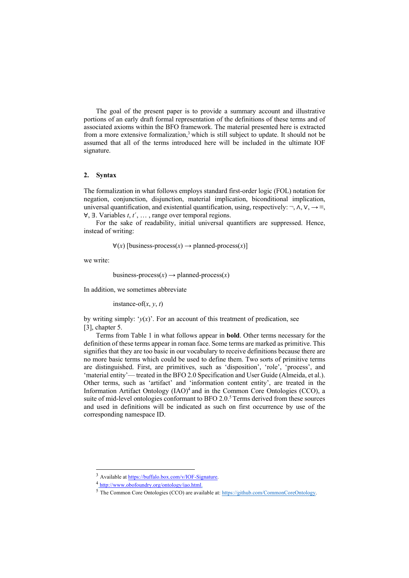The goal of the present paper is to provide a summary account and illustrative portions of an early draft formal representation of the definitions of these terms and of associated axioms within the BFO framework. The material presented here is extracted from a more extensive formalization,<sup>3</sup> which is still subject to update. It should not be assumed that all of the terms introduced here will be included in the ultimate IOF signature.

#### **2. Syntax**

The formalization in what follows employs standard first-order logic (FOL) notation for negation, conjunction, disjunction, material implication, biconditional implication, universal quantification, and existential quantification, using, respectively:  $\neg$ ,  $\wedge$ ,  $\vee$ ,  $\rightarrow \equiv$ , ∀, ∃. Variables *t*, *t*´, … , range over temporal regions.

For the sake of readability, initial universal quantifiers are suppressed. Hence, instead of writing:

 $∀(x)$  [business-process $(x)$  → planned-process $(x)$ ]

we write:

business-process $(x) \rightarrow$  planned-process $(x)$ 

In addition, we sometimes abbreviate

instance-of $(x, y, t)$ 

by writing simply: ' $y(x)$ '. For an account of this treatment of predication, see [3], chapter 5.

Terms from Table 1 in what follows appear in **bold**. Other terms necessary for the definition of these terms appear in roman face. Some terms are marked as primitive. This signifies that they are too basic in our vocabulary to receive definitions because there are no more basic terms which could be used to define them. Two sorts of primitive terms are distinguished. First, are primitives, such as 'disposition', 'role', 'process', and 'material entity'— treated in the BFO 2.0 Specification and User Guide (Almeida, et al.). Other terms, such as 'artifact' and 'information content entity', are treated in the Information Artifact Ontology  $(IAO)<sup>4</sup>$  and in the Common Core Ontologies (CCO), a suite of mid-level ontologies conformant to BFO  $2.0$ <sup>5</sup> Terms derived from these sources and used in definitions will be indicated as such on first occurrence by use of the corresponding namespace ID.

Available at https://buffalo.box.com/v/IOF-Signature.

<sup>4</sup> http://www.obofoundry.org/ontology/iao.html.

<sup>5</sup> The Common Core Ontologies (CCO) are available at: https://github.com/CommonCoreOntology.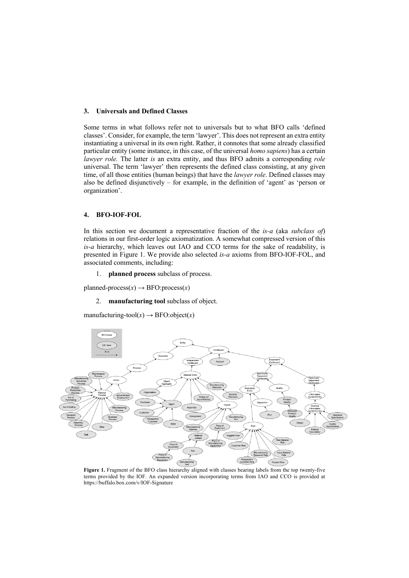## **3. Universals and Defined Classes**

Some terms in what follows refer not to universals but to what BFO calls 'defined classes'. Consider, for example, the term 'lawyer'. This does not represent an extra entity instantiating a universal in its own right. Rather, it connotes that some already classified particular entity (some instance, in this case, of the universal *homo sapiens*) has a certain *lawyer role.* The latter *is* an extra entity, and thus BFO admits a corresponding *role*  universal. The term 'lawyer' then represents the defined class consisting, at any given time, of all those entities (human beings) that have the *lawyer role*. Defined classes may also be defined disjunctively – for example, in the definition of 'agent' as 'person or organization'.

# **4. BFO-IOF-FOL**

In this section we document a representative fraction of the *is-a* (aka *subclass of*) relations in our first-order logic axiomatization. A somewhat compressed version of this *is-a* hierarchy, which leaves out IAO and CCO terms for the sake of readability, is presented in Figure 1. We provide also selected *is-a* axioms from BFO-IOF-FOL, and associated comments, including:

1. **planned process** subclass of process.

planned-process $(x) \rightarrow$  BFO:process $(x)$ 

2. **manufacturing tool** subclass of object.

manufacturing-tool $(x) \rightarrow$  BFO:object $(x)$ 



Figure 1. Fragment of the BFO class hierarchy aligned with classes bearing labels from the top twenty-five terms provided by the IOF. An expanded version incorporating terms from IAO and CCO is provided at https://buffalo.box.com/v/IOF-Signature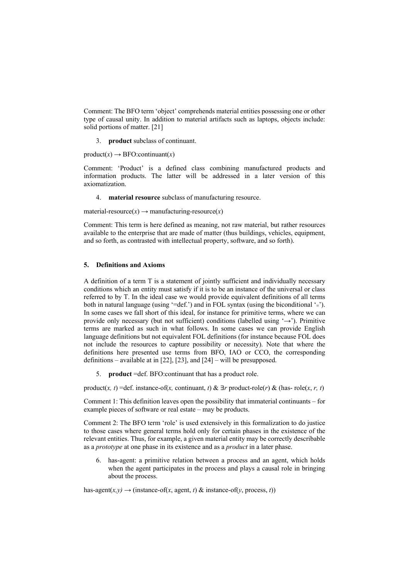Comment: The BFO term 'object' comprehends material entities possessing one or other type of causal unity. In addition to material artifacts such as laptops, objects include: solid portions of matter. [21]

3. **product** subclass of continuant.

 $product(x) \rightarrow BFO:continuant(x)$ 

Comment: 'Product' is a defined class combining manufactured products and information products. The latter will be addressed in a later version of this axiomatization.

4. **material resource** subclass of manufacturing resource.

material-resource $(x) \rightarrow$  manufacturing-resource $(x)$ 

Comment: This term is here defined as meaning, not raw material, but rather resources available to the enterprise that are made of matter (thus buildings, vehicles, equipment, and so forth, as contrasted with intellectual property, software, and so forth).

## **5. Definitions and Axioms**

A definition of a term T is a statement of jointly sufficient and individually necessary conditions which an entity must satisfy if it is to be an instance of the universal or class referred to by T. In the ideal case we would provide equivalent definitions of all terms both in natural language (using '=def.') and in FOL syntax (using the biconditional '≡'). In some cases we fall short of this ideal, for instance for primitive terms, where we can provide only necessary (but not sufficient) conditions (labelled using  $\rightarrow$ ). Primitive terms are marked as such in what follows. In some cases we can provide English language definitions but not equivalent FOL definitions (for instance because FOL does not include the resources to capture possibility or necessity). Note that where the definitions here presented use terms from BFO, IAO or CCO, the corresponding definitions – available at in [22], [23], and [24] – will be presupposed.

5. **product** =def. BFO:continuant that has a product role.

product(*x*, *t*) =def. instance-of(*x*, continuant, *t*) & ∃*r* product-role(*r*) & (has-role(*x*, *r*, *t*)

Comment 1: This definition leaves open the possibility that immaterial continuants – for example pieces of software or real estate – may be products.

Comment 2: The BFO term 'role' is used extensively in this formalization to do justice to those cases where general terms hold only for certain phases in the existence of the relevant entities. Thus, for example, a given material entity may be correctly describable as a *prototype* at one phase in its existence and as a *product* in a later phase.

6. has-agent: a primitive relation between a process and an agent, which holds when the agent participates in the process and plays a causal role in bringing about the process.

has-agent( $x, y$ )  $\rightarrow$  (instance-of( $x$ , agent,  $t$ ) & instance-of( $y$ , process,  $t$ ))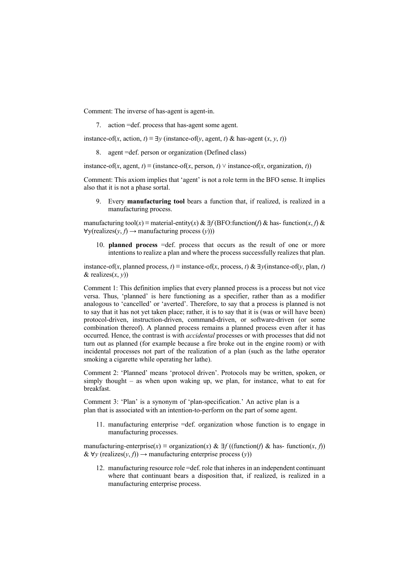Comment: The inverse of has-agent is agent-in.

7. action =def. process that has-agent some agent.

instance-of(*x*, action, *t*)  $\equiv \exists y$  (instance-of(*y*, agent, *t*) & has-agent (*x*, *y*, *t*))

8. agent =def. person or organization (Defined class)

instance-of(*x*, agent, *t*) ≡ (instance-of(*x*, person, *t*) ∨ instance-of(*x*, organization, *t*))

Comment: This axiom implies that 'agent' is not a role term in the BFO sense. It implies also that it is not a phase sortal.

9. Every **manufacturing tool** bears a function that, if realized, is realized in a manufacturing process.

manufacturing tool(*x*) ≡ material-entity(*x*) & ∃f (BFO:function(*f*) & has-function(*x*, *f*) &  $\forall y$ (realizes(*y*, *f*)  $\rightarrow$  manufacturing process (*y*)))

10. **planned process** =def. process that occurs as the result of one or more intentions to realize a plan and where the process successfully realizes that plan.

instance-of(*x*, planned process, *t*)  $\equiv$  instance-of(*x*, process, *t*) &  $\exists y$ (instance-of(*y*, plan, *t*)  $\&$  realizes $(x, y)$ 

Comment 1: This definition implies that every planned process is a process but not vice versa. Thus, 'planned' is here functioning as a specifier, rather than as a modifier analogous to 'cancelled' or 'averted'. Therefore, to say that a process is planned is not to say that it has not yet taken place; rather, it is to say that it is (was or will have been) protocol-driven, instruction-driven, command-driven, or software-driven (or some combination thereof). A planned process remains a planned process even after it has occurred. Hence, the contrast is with *accidental* processes or with processes that did not turn out as planned (for example because a fire broke out in the engine room) or with incidental processes not part of the realization of a plan (such as the lathe operator smoking a cigarette while operating her lathe).

Comment 2: 'Planned' means 'protocol driven'. Protocols may be written, spoken, or simply thought – as when upon waking up, we plan, for instance, what to eat for breakfast.

Comment 3: 'Plan' is a synonym of 'plan-specification.' An active plan is a plan that is associated with an intention-to-perform on the part of some agent.

11. manufacturing enterprise =def. organization whose function is to engage in manufacturing processes.

manufacturing-enterprise( $x$ ) ≡ organization( $x$ ) &  $\exists f$  ((function( $f$ ) & has-function( $x$ ,  $f$ )) &  $∀y$  (realizes(*y*, *f*)) → manufacturing enterprise process (*y*))

12. manufacturing resource role =def. role that inheres in an independent continuant where that continuant bears a disposition that, if realized, is realized in a manufacturing enterprise process.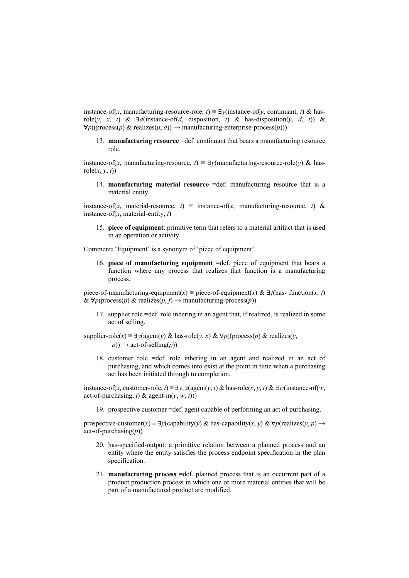instance-of(*x*, manufacturing-resource-role, *t*)  $\equiv \exists y$ (instance-of(*y*, continuant, *t*) & hasrole(*y*, *x*, *t*) &  $\exists d$ (instance-of(*d*, disposition, *t*) & has-disposition(*y*, *d*, *t*)) &  $∀p((process(p) & realizes(p, d)) \rightarrow manufacture = enterprise-process(p)))$ 

13. **manufacturing resource** =def. continuant that bears a manufacturing resource role.

instance-of(*x*, manufacturing-resource,  $t$ )  $\equiv \exists y$ (manufacturing-resource-role(*y*) & hasrole $(x, y, t)$ 

14. **manufacturing material resource** =def. manufacturing resource that is a material entity.

instance-of(*x*, material-resource, *t*)  $\equiv$  instance-of(*x*, manufacturing-resource, *t*) & instance-of(*x*, material-entity, *t*)

15. **piece of equipment**: primitive term that refers to a material artifact that is used in an operation or activity.

Comment**:** 'Equipment' is a synonym of 'piece of equipment'.

16. **piece of manufacturing equipment** =def. piece of equipment that bears a function where any process that realizes that function is a manufacturing process.

piece-of-manufacturing-equipment(*x*) ≡ piece-of-equipment(*x*) &  $\exists f$ (has- function(*x*, *f*) & ∀*p*(process(*p*) & realizes(*p*, *f*) → manufacturing-process(*p*))

- 17. supplier role =def. role inhering in an agent that, if realized, is realized in some act of selling.
- supplier-role(*x*)  $\equiv \exists y (agent(y) \& has-role(y, x) \& \forall p ((process(p) \& realizes(y,$  $p)$   $\rightarrow$  act-of-selling(*p*))
	- 18. customer role =def. role inhering in an agent and realized in an act of purchasing, and which comes into exist at the point in time when a purchasing act has been initiated through to completion.

instance-of(*x*, customer-role,  $t$ )  $\equiv \exists y, z$ (agent(*y*, *t*) & has-role(*x*, *y*, *t*) &  $\exists w$ (instance-of(*w*, act-of-purchasing, *t*) & agent-in(*v*, *w*, *t*)))

19. prospective customer =def. agent capable of performing an act of purchasing.

prospective-customer(*x*)  $\equiv \exists y$ (capability(*y*) & has-capability(*x*, *y*) &  $\forall p$ (realizes(*y*, *p*)  $\rightarrow$ act-of-purchasing(*p*))

- 20. has-specified-output: a primitive relation between a planned process and an entity where the entity satisfies the process endpoint specification in the plan specification.
- 21. **manufacturing process** =def. planned process that is an occurrent part of a product production process in which one or more material entities that will be part of a manufactured product are modified.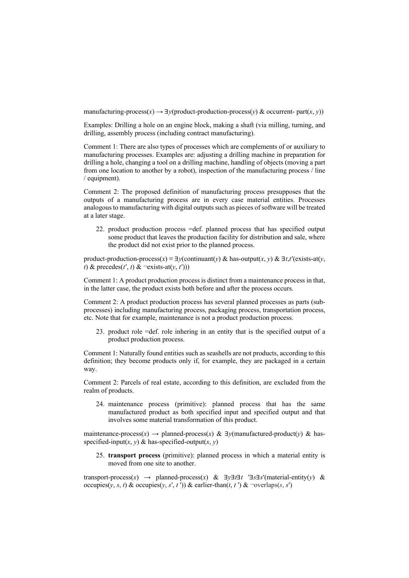manufacturing-process $(x) \rightarrow \exists y$ (product-production-process $(y)$  & occurrent- part $(x, y)$ )

Examples: Drilling a hole on an engine block, making a shaft (via milling, turning, and drilling, assembly process (including contract manufacturing).

Comment 1: There are also types of processes which are complements of or auxiliary to manufacturing processes. Examples are: adjusting a drilling machine in preparation for drilling a hole, changing a tool on a drilling machine, handling of objects (moving a part from one location to another by a robot), inspection of the manufacturing process / line / equipment).

Comment 2: The proposed definition of manufacturing process presupposes that the outputs of a manufacturing process are in every case material entities. Processes analogous to manufacturing with digital outputs such as pieces of software will be treated at a later stage.

22. product production process =def. planned process that has specified output some product that leaves the production facility for distribution and sale, where the product did not exist prior to the planned process.

product-production-process(*x*)  $\equiv \exists y$ (continuant(*y*) & has-output(*x*, *y*) &  $\exists t$ ,*t*'(exists-at(*y*,  $t)$  & precedes( $t'$ ,  $t$ ) &  $\neg$ exists-at( $y$ ,  $t'$ )))

Comment 1: A product production process is distinct from a maintenance process in that, in the latter case, the product exists both before and after the process occurs.

Comment 2: A product production process has several planned processes as parts (subprocesses) including manufacturing process, packaging process, transportation process, etc. Note that for example, maintenance is not a product production process.

23. product role =def. role inhering in an entity that is the specified output of a product production process.

Comment 1: Naturally found entities such as seashells are not products, according to this definition; they become products only if, for example, they are packaged in a certain way.

Comment 2: Parcels of real estate, according to this definition, are excluded from the realm of products.

24. maintenance process (primitive): planned process that has the same manufactured product as both specified input and specified output and that involves some material transformation of this product.

maintenance-process(x)  $\rightarrow$  planned-process(x) &  $\exists y$ (manufactured-product(y) & hasspecified-input(*x*, *y*) & has-specified-output(*x*, *y*)

25. **transport process** (primitive): planned process in which a material entity is moved from one site to another.

transport-process(*x*)  $\rightarrow$  planned-process(*x*) &  $\exists y \exists t \exists t$  ' $\exists s \exists s'$ (material-entity(*y*) & occupies( $y, s, t$ ) & occupies( $y, s', t'$ )) & earlier-than( $t, t'$ ) & ¬overlaps( $s, s'$ )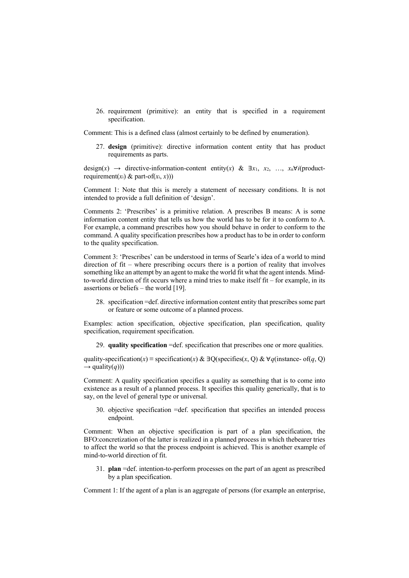26. requirement (primitive): an entity that is specified in a requirement specification.

Comment: This is a defined class (almost certainly to be defined by enumeration).

27. **design** (primitive): directive information content entity that has product requirements as parts.

design(*x*)  $\rightarrow$  directive-information-content entity(*x*) &  $\exists x_1, x_2, ..., x_n \forall i$ (productrequirement $(x_i)$  & part-of $(x_i, x)$ ))

Comment 1: Note that this is merely a statement of necessary conditions. It is not intended to provide a full definition of 'design'.

Comments 2: 'Prescribes' is a primitive relation. A prescribes B means: A is some information content entity that tells us how the world has to be for it to conform to A. For example, a command prescribes how you should behave in order to conform to the command. A quality specification prescribes how a product has to be in order to conform to the quality specification.

Comment 3: 'Prescribes' can be understood in terms of Searle's idea of a world to mind direction of fit – where prescribing occurs there is a portion of reality that involves something like an attempt by an agent to make the world fit what the agent intends. Mindto-world direction of fit occurs where a mind tries to make itself fit – for example, in its assertions or beliefs – the world [19].

28. specification =def. directive information content entity that prescribes some part or feature or some outcome of a planned process.

Examples: action specification, objective specification, plan specification, quality specification, requirement specification.

29. **quality specification** =def. specification that prescribes one or more qualities.

quality-specification(*x*) ≡ specification(*x*) & ∃Q(specifies(*x*, Q) & ∀*q*(instance- of(*q*, Q)  $\rightarrow$  quality(*q*)))

Comment: A quality specification specifies a quality as something that is to come into existence as a result of a planned process. It specifies this quality generically, that is to say, on the level of general type or universal.

30. objective specification =def. specification that specifies an intended process endpoint.

Comment: When an objective specification is part of a plan specification, the BFO:concretization of the latter is realized in a planned process in which thebearer tries to affect the world so that the process endpoint is achieved. This is another example of mind-to-world direction of fit.

31. **plan** =def. intention-to-perform processes on the part of an agent as prescribed by a plan specification.

Comment 1: If the agent of a plan is an aggregate of persons (for example an enterprise,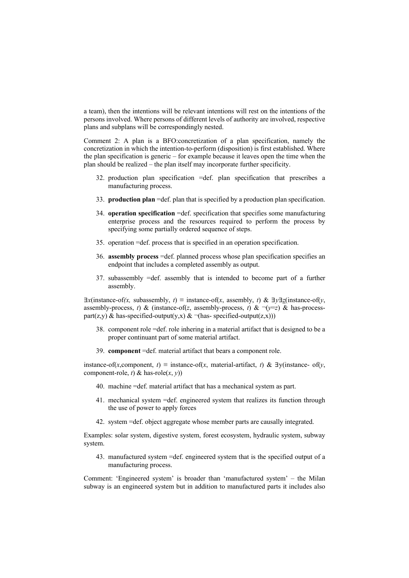a team), then the intentions will be relevant intentions will rest on the intentions of the persons involved. Where persons of different levels of authority are involved, respective plans and subplans will be correspondingly nested.

Comment 2: A plan is a BFO:concretization of a plan specification, namely the concretization in which the intention-to-perform (disposition) is first established. Where the plan specification is generic – for example because it leaves open the time when the plan should be realized – the plan itself may incorporate further specificity.

- 32. production plan specification =def. plan specification that prescribes a manufacturing process.
- 33. **production plan** =def. plan that is specified by a production plan specification.
- 34. **operation specification** =def. specification that specifies some manufacturing enterprise process and the resources required to perform the process by specifying some partially ordered sequence of steps.
- 35. operation =def. process that is specified in an operation specification.
- 36. **assembly process** =def. planned process whose plan specification specifies an endpoint that includes a completed assembly as output.
- 37. subassembly =def. assembly that is intended to become part of a further assembly.

 $\exists x$ (instance-of(*x*, subassembly, *t*)  $\equiv$  instance-of(*x*, assembly, *t*) &  $\exists y \exists z$ (instance-of(*y*, assembly-process, *t*) & (instance-of(*z*, assembly-process, *t*) &  $\neg(\gamma = z)$  & has-processpart(z,y) & has-specified-output(y,x) &  $\neg$ (has-specified-output(z,x)))

- 38. component role =def. role inhering in a material artifact that is designed to be a proper continuant part of some material artifact.
- 39. **component** =def. material artifact that bears a component role.

instance-of(*x*,component, *t*)  $\equiv$  instance-of(*x*, material-artifact, *t*) &  $\exists$ y(instance- of(*y*, component-role, *t*) & has-role $(x, y)$ 

- 40. machine =def. material artifact that has a mechanical system as part.
- 41. mechanical system =def. engineered system that realizes its function through the use of power to apply forces
- 42. system =def. object aggregate whose member parts are causally integrated.

Examples: solar system, digestive system, forest ecosystem, hydraulic system, subway system.

43. manufactured system =def. engineered system that is the specified output of a manufacturing process.

Comment: 'Engineered system' is broader than 'manufactured system' – the Milan subway is an engineered system but in addition to manufactured parts it includes also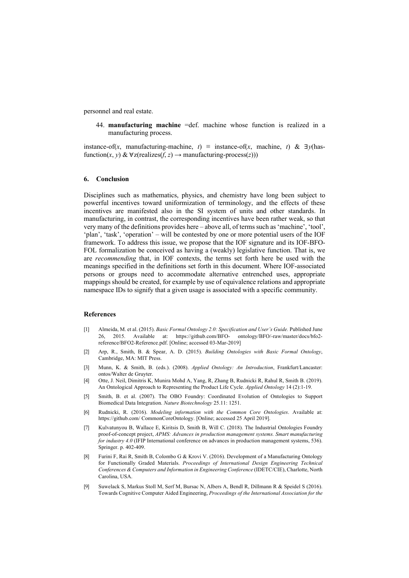personnel and real estate.

44. **manufacturing machine** =def. machine whose function is realized in a manufacturing process.

instance-of(*x*, manufacturing-machine, *t*) ≡ instance-of(*x*, machine, *t*) & ∃*y*(hasfunction(*x*, *y*) &  $\forall$ z(realizes(*f*, *z*)  $\rightarrow$  manufacturing-process(*z*)))

## **6. Conclusion**

Disciplines such as mathematics, physics, and chemistry have long been subject to powerful incentives toward uniformization of terminology, and the effects of these incentives are manifested also in the SI system of units and other standards. In manufacturing, in contrast, the corresponding incentives have been rather weak, so that very many of the definitions provides here – above all, of terms such as 'machine', 'tool', 'plan', 'task', 'operation' – will be contested by one or more potential users of the IOF framework. To address this issue, we propose that the IOF signature and its IOF-BFO-FOL formalization be conceived as having a (weakly) legislative function. That is, we are *recommending* that, in IOF contexts, the terms set forth here be used with the meanings specified in the definitions set forth in this document. Where IOF-associated persons or groups need to accommodate alternative entrenched uses, appropriate mappings should be created, for example by use of equivalence relations and appropriate namespace IDs to signify that a given usage is associated with a specific community.

## **References**

- [1] Almeida, M. et al. (2015). *Basic Formal Ontology 2.0: Specification and User's Guide.* Published June 26, 2015. Available at: https://github.com/BFO- ontology/BFO/-raw/master/docs/bfo2 reference/BFO2-Reference.pdf. [Online; accessed 03-Mar-2019]
- [2] Arp, R., Smith, B. & Spear, A. D. (2015). *Building Ontologies with Basic Formal Ontology*, Cambridge, MA: MIT Press.
- [3] Munn, K. & Smith, B. (eds.). (2008). *Applied Ontology: An Introduction*, Frankfurt/Lancaster: ontos/Walter de Gruyter.
- [4] Otte, J. Neil, Dimitris K, Munira Mohd A, Yang, R, Zhang B, Rudnicki R, Rahul R, Smith B. (2019). An Ontological Approach to Representing the Product Life Cycle. *Applied Ontology* 14 (2):1-19.
- [5] Smith, B. et al. (2007). The OBO Foundry: Coordinated Evolution of Ontologies to Support Biomedical Data Integration. *Nature Biotechnology* 25.11: 1251.
- [6] Rudnicki, R. (2016). *Modeling information with the Common Core Ontologies*. Available at: https://github.com/ CommonCoreOntology. [Online; accessed 25 April 2019].
- [7] Kulvatunyou B, Wallace E, Kiritsis D, Smith B, Will C. (2018). The Industrial Ontologies Foundry proof-of-concept project, *APMS: Advances in production management systems. Smart manufacturing for industry 4.0* (IFIP International conference on advances in production management systems, 536). Springer. p. 402-409.
- [8] Furini F, Rai R, Smith B, Colombo G & Krovi V. (2016). Development of a Manufacturing Ontology for Functionally Graded Materials. *Proceedings of International Design Engineering Technical Conferences & Computers and Information in Engineering Conference* (IDETC/CIE), Charlotte, North Carolina, USA.
- [9] Suwelack S, Markus Stoll M, Serf M, Bursac N, Albers A, Bendl R, Dillmann R & Speidel S (2016). Towards Cognitive Computer Aided Engineering, *Proceedings of the International Association for the*